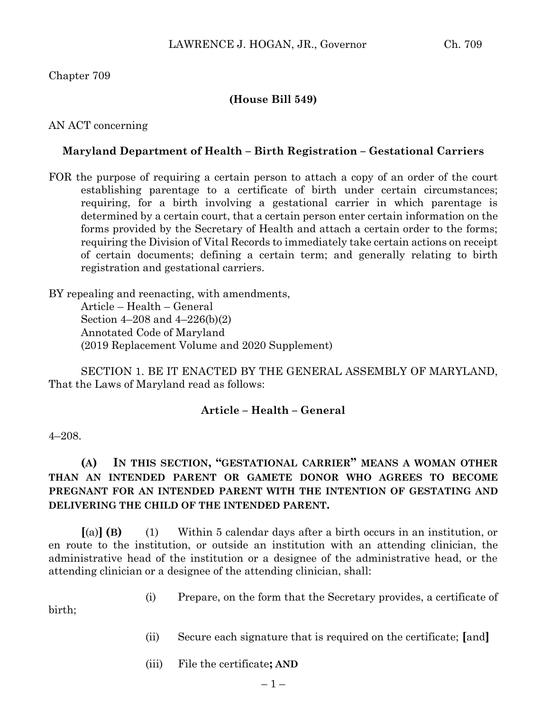## Chapter 709

## **(House Bill 549)**

#### AN ACT concerning

### **Maryland Department of Health – Birth Registration – Gestational Carriers**

FOR the purpose of requiring a certain person to attach a copy of an order of the court establishing parentage to a certificate of birth under certain circumstances; requiring, for a birth involving a gestational carrier in which parentage is determined by a certain court, that a certain person enter certain information on the forms provided by the Secretary of Health and attach a certain order to the forms; requiring the Division of Vital Records to immediately take certain actions on receipt of certain documents; defining a certain term; and generally relating to birth registration and gestational carriers.

BY repealing and reenacting, with amendments, Article – Health – General Section 4–208 and 4–226(b)(2) Annotated Code of Maryland (2019 Replacement Volume and 2020 Supplement)

SECTION 1. BE IT ENACTED BY THE GENERAL ASSEMBLY OF MARYLAND, That the Laws of Maryland read as follows:

#### **Article – Health – General**

#### 4–208.

# **(A) IN THIS SECTION, "GESTATIONAL CARRIER" MEANS A WOMAN OTHER THAN AN INTENDED PARENT OR GAMETE DONOR WHO AGREES TO BECOME PREGNANT FOR AN INTENDED PARENT WITH THE INTENTION OF GESTATING AND DELIVERING THE CHILD OF THE INTENDED PARENT.**

**[**(a)**] (B)** (1) Within 5 calendar days after a birth occurs in an institution, or en route to the institution, or outside an institution with an attending clinician, the administrative head of the institution or a designee of the administrative head, or the attending clinician or a designee of the attending clinician, shall:

(i) Prepare, on the form that the Secretary provides, a certificate of

birth;

- (ii) Secure each signature that is required on the certificate; **[**and**]**
- (iii) File the certificate**; AND**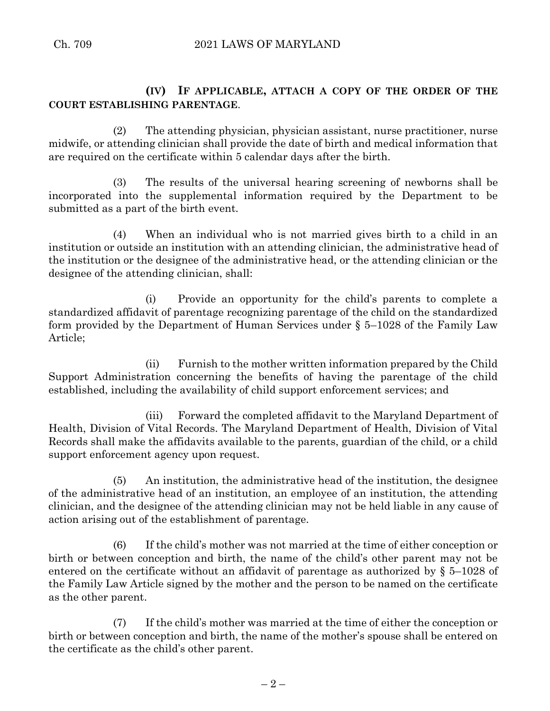# **(IV) IF APPLICABLE, ATTACH A COPY OF THE ORDER OF THE COURT ESTABLISHING PARENTAGE**.

(2) The attending physician, physician assistant, nurse practitioner, nurse midwife, or attending clinician shall provide the date of birth and medical information that are required on the certificate within 5 calendar days after the birth.

(3) The results of the universal hearing screening of newborns shall be incorporated into the supplemental information required by the Department to be submitted as a part of the birth event.

(4) When an individual who is not married gives birth to a child in an institution or outside an institution with an attending clinician, the administrative head of the institution or the designee of the administrative head, or the attending clinician or the designee of the attending clinician, shall:

(i) Provide an opportunity for the child's parents to complete a standardized affidavit of parentage recognizing parentage of the child on the standardized form provided by the Department of Human Services under § 5–1028 of the Family Law Article;

(ii) Furnish to the mother written information prepared by the Child Support Administration concerning the benefits of having the parentage of the child established, including the availability of child support enforcement services; and

(iii) Forward the completed affidavit to the Maryland Department of Health, Division of Vital Records. The Maryland Department of Health, Division of Vital Records shall make the affidavits available to the parents, guardian of the child, or a child support enforcement agency upon request.

(5) An institution, the administrative head of the institution, the designee of the administrative head of an institution, an employee of an institution, the attending clinician, and the designee of the attending clinician may not be held liable in any cause of action arising out of the establishment of parentage.

(6) If the child's mother was not married at the time of either conception or birth or between conception and birth, the name of the child's other parent may not be entered on the certificate without an affidavit of parentage as authorized by § 5–1028 of the Family Law Article signed by the mother and the person to be named on the certificate as the other parent.

(7) If the child's mother was married at the time of either the conception or birth or between conception and birth, the name of the mother's spouse shall be entered on the certificate as the child's other parent.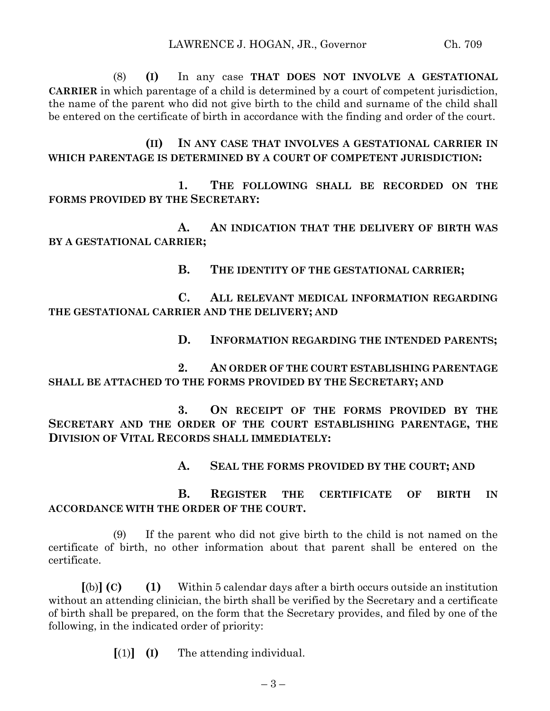(8) **(I)** In any case **THAT DOES NOT INVOLVE A GESTATIONAL CARRIER** in which parentage of a child is determined by a court of competent jurisdiction, the name of the parent who did not give birth to the child and surname of the child shall be entered on the certificate of birth in accordance with the finding and order of the court.

## **(II) IN ANY CASE THAT INVOLVES A GESTATIONAL CARRIER IN WHICH PARENTAGE IS DETERMINED BY A COURT OF COMPETENT JURISDICTION:**

**1. THE FOLLOWING SHALL BE RECORDED ON THE FORMS PROVIDED BY THE SECRETARY:**

**A. AN INDICATION THAT THE DELIVERY OF BIRTH WAS BY A GESTATIONAL CARRIER;**

**B. THE IDENTITY OF THE GESTATIONAL CARRIER;**

**C. ALL RELEVANT MEDICAL INFORMATION REGARDING THE GESTATIONAL CARRIER AND THE DELIVERY; AND**

**D. INFORMATION REGARDING THE INTENDED PARENTS;**

**2. AN ORDER OF THE COURT ESTABLISHING PARENTAGE SHALL BE ATTACHED TO THE FORMS PROVIDED BY THE SECRETARY; AND**

**3. ON RECEIPT OF THE FORMS PROVIDED BY THE SECRETARY AND THE ORDER OF THE COURT ESTABLISHING PARENTAGE, THE DIVISION OF VITAL RECORDS SHALL IMMEDIATELY:**

**A. SEAL THE FORMS PROVIDED BY THE COURT; AND**

**B. REGISTER THE CERTIFICATE OF BIRTH IN ACCORDANCE WITH THE ORDER OF THE COURT.**

(9) If the parent who did not give birth to the child is not named on the certificate of birth, no other information about that parent shall be entered on the certificate.

**[**(b)**] (C) (1)** Within 5 calendar days after a birth occurs outside an institution without an attending clinician, the birth shall be verified by the Secretary and a certificate of birth shall be prepared, on the form that the Secretary provides, and filed by one of the following, in the indicated order of priority:

**[**(1)**] (I)** The attending individual.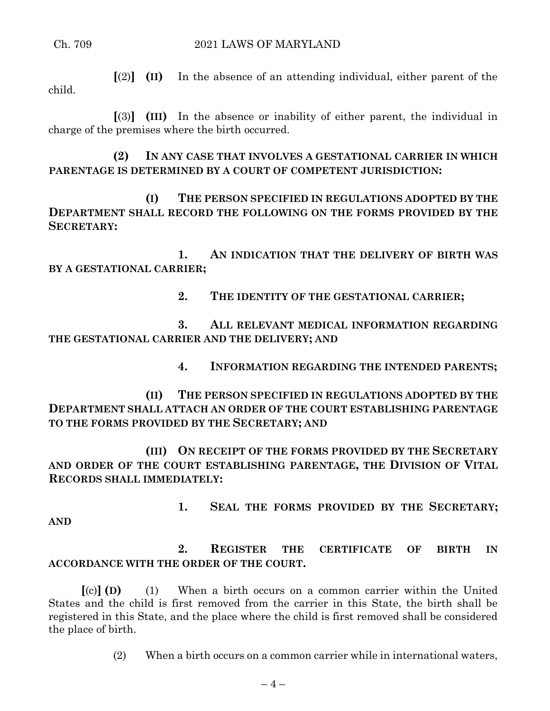**[**(2)**] (II)** In the absence of an attending individual, either parent of the child.

**[**(3)**] (III)** In the absence or inability of either parent, the individual in charge of the premises where the birth occurred.

**(2) IN ANY CASE THAT INVOLVES A GESTATIONAL CARRIER IN WHICH PARENTAGE IS DETERMINED BY A COURT OF COMPETENT JURISDICTION:**

**(I) THE PERSON SPECIFIED IN REGULATIONS ADOPTED BY THE DEPARTMENT SHALL RECORD THE FOLLOWING ON THE FORMS PROVIDED BY THE SECRETARY:**

**1. AN INDICATION THAT THE DELIVERY OF BIRTH WAS BY A GESTATIONAL CARRIER;**

**2. THE IDENTITY OF THE GESTATIONAL CARRIER;**

**3. ALL RELEVANT MEDICAL INFORMATION REGARDING THE GESTATIONAL CARRIER AND THE DELIVERY; AND**

**4. INFORMATION REGARDING THE INTENDED PARENTS;**

**(II) THE PERSON SPECIFIED IN REGULATIONS ADOPTED BY THE DEPARTMENT SHALL ATTACH AN ORDER OF THE COURT ESTABLISHING PARENTAGE TO THE FORMS PROVIDED BY THE SECRETARY; AND**

**(III) ON RECEIPT OF THE FORMS PROVIDED BY THE SECRETARY AND ORDER OF THE COURT ESTABLISHING PARENTAGE, THE DIVISION OF VITAL RECORDS SHALL IMMEDIATELY:**

**AND**

**1. SEAL THE FORMS PROVIDED BY THE SECRETARY;**

# **2. REGISTER THE CERTIFICATE OF BIRTH IN ACCORDANCE WITH THE ORDER OF THE COURT.**

**[**(c)**] (D)** (1) When a birth occurs on a common carrier within the United States and the child is first removed from the carrier in this State, the birth shall be registered in this State, and the place where the child is first removed shall be considered the place of birth.

(2) When a birth occurs on a common carrier while in international waters,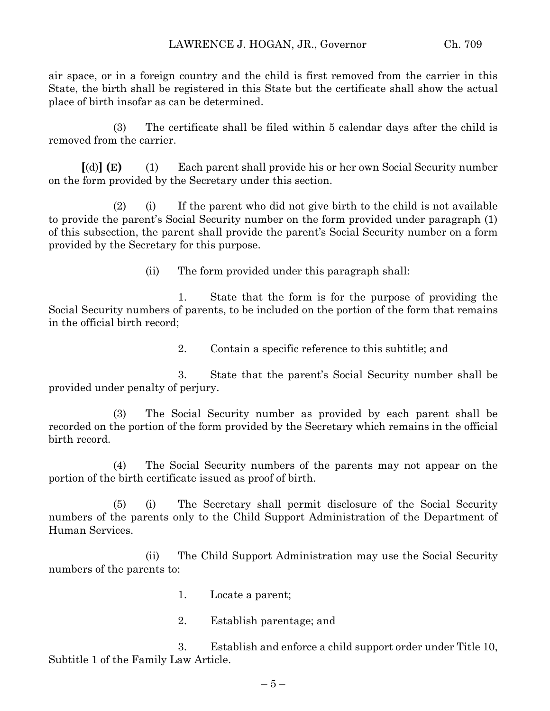air space, or in a foreign country and the child is first removed from the carrier in this State, the birth shall be registered in this State but the certificate shall show the actual place of birth insofar as can be determined.

(3) The certificate shall be filed within 5 calendar days after the child is removed from the carrier.

**[**(d)**] (E)** (1) Each parent shall provide his or her own Social Security number on the form provided by the Secretary under this section.

(2) (i) If the parent who did not give birth to the child is not available to provide the parent's Social Security number on the form provided under paragraph (1) of this subsection, the parent shall provide the parent's Social Security number on a form provided by the Secretary for this purpose.

(ii) The form provided under this paragraph shall:

1. State that the form is for the purpose of providing the Social Security numbers of parents, to be included on the portion of the form that remains in the official birth record;

2. Contain a specific reference to this subtitle; and

3. State that the parent's Social Security number shall be provided under penalty of perjury.

(3) The Social Security number as provided by each parent shall be recorded on the portion of the form provided by the Secretary which remains in the official birth record.

(4) The Social Security numbers of the parents may not appear on the portion of the birth certificate issued as proof of birth.

(5) (i) The Secretary shall permit disclosure of the Social Security numbers of the parents only to the Child Support Administration of the Department of Human Services.

(ii) The Child Support Administration may use the Social Security numbers of the parents to:

- 1. Locate a parent;
- 2. Establish parentage; and

3. Establish and enforce a child support order under Title 10, Subtitle 1 of the Family Law Article.